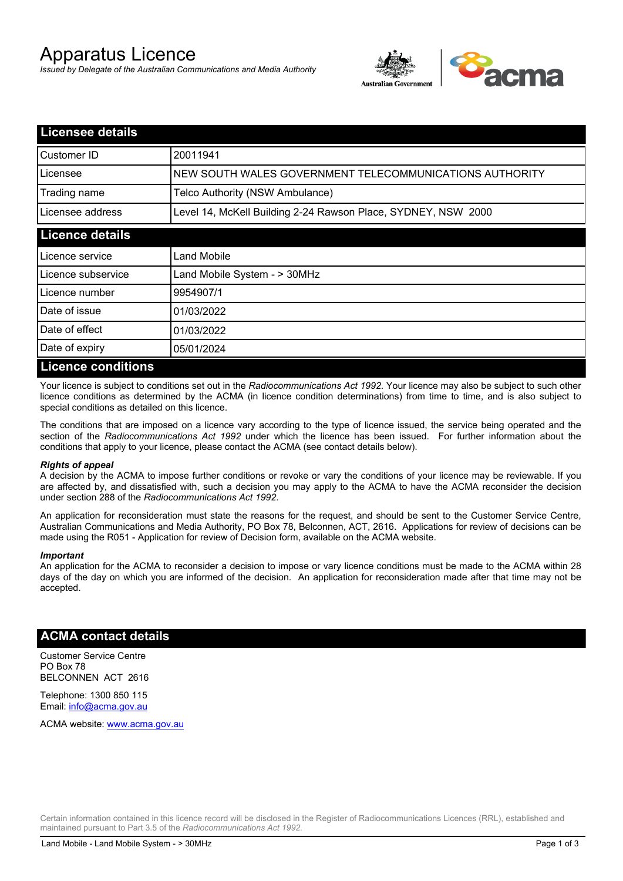# Apparatus Licence

*Issued by Delegate of the Australian Communications and Media Authority*



| <b>Licensee details</b>   |                                                               |
|---------------------------|---------------------------------------------------------------|
| Customer ID               | 20011941                                                      |
| Licensee                  | NEW SOUTH WALES GOVERNMENT TELECOMMUNICATIONS AUTHORITY       |
| Trading name              | Telco Authority (NSW Ambulance)                               |
| Licensee address          | Level 14, McKell Building 2-24 Rawson Place, SYDNEY, NSW 2000 |
| <b>Licence details</b>    |                                                               |
| l Licence service         | Land Mobile                                                   |
| Licence subservice        | Land Mobile System - > 30MHz                                  |
| Licence number            | 9954907/1                                                     |
| Date of issue             | 01/03/2022                                                    |
| Date of effect            | 01/03/2022                                                    |
| Date of expiry            | 05/01/2024                                                    |
| <b>Licence conditions</b> |                                                               |

Your licence is subject to conditions set out in the *Radiocommunications Act 1992*. Your licence may also be subject to such other licence conditions as determined by the ACMA (in licence condition determinations) from time to time, and is also subject to special conditions as detailed on this licence.

The conditions that are imposed on a licence vary according to the type of licence issued, the service being operated and the section of the *Radiocommunications Act 1992* under which the licence has been issued. For further information about the conditions that apply to your licence, please contact the ACMA (see contact details below).

#### *Rights of appeal*

A decision by the ACMA to impose further conditions or revoke or vary the conditions of your licence may be reviewable. If you are affected by, and dissatisfied with, such a decision you may apply to the ACMA to have the ACMA reconsider the decision under section 288 of the *Radiocommunications Act 1992*.

An application for reconsideration must state the reasons for the request, and should be sent to the Customer Service Centre, Australian Communications and Media Authority, PO Box 78, Belconnen, ACT, 2616. Applications for review of decisions can be made using the R051 - Application for review of Decision form, available on the ACMA website.

#### *Important*

An application for the ACMA to reconsider a decision to impose or vary licence conditions must be made to the ACMA within 28 days of the day on which you are informed of the decision. An application for reconsideration made after that time may not be accepted.

### **ACMA contact details**

Customer Service Centre PO Box 78 BELCONNEN ACT 2616

Telephone: 1300 850 115 Email: info@acma.gov.au

ACMA website: www.acma.gov.au

Certain information contained in this licence record will be disclosed in the Register of Radiocommunications Licences (RRL), established and maintained pursuant to Part 3.5 of the *Radiocommunications Act 1992.*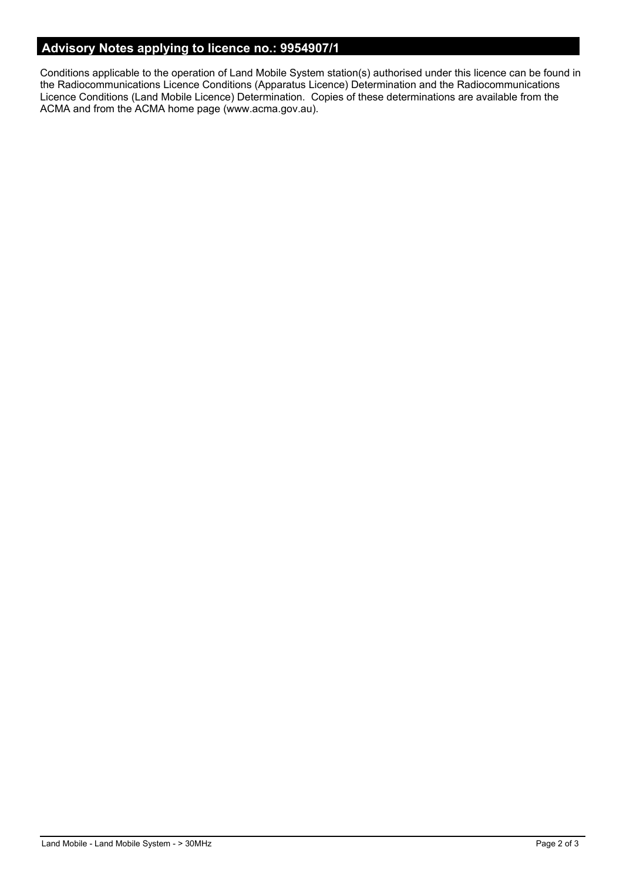# **Advisory Notes applying to licence no.: 9954907/1**

Conditions applicable to the operation of Land Mobile System station(s) authorised under this licence can be found in the Radiocommunications Licence Conditions (Apparatus Licence) Determination and the Radiocommunications Licence Conditions (Land Mobile Licence) Determination. Copies of these determinations are available from the ACMA and from the ACMA home page (www.acma.gov.au).